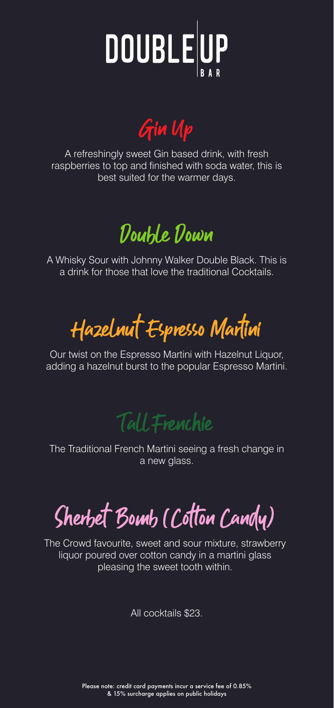

Gin Up

A refreshingly sweet Gin based drink, with fresh raspberries to top and finished with soda water, this is best suited for the warmer days.

Double Down

A Whisky Sour with Johnny Walker Double Black. This is a drink for those that love the traditional Cocktails.

Hazelnut Espresso Martini

Our twist on the Espresso Martini with Hazelnut Liquor, adding a hazelnut burst to the popular Espresso Martini.

Tall Frenchie

The Traditional French Martini seeing a fresh change in a new glass.

Sherbet Bomb (Cotton Candy)

The Crowd favourite, sweet and sour mixture, strawberry liquor poured over cotton candy in a martini glass pleasing the sweet tooth within.

All cocktails \$23.

Please note: credit card payments incur a service fee of 0.85% & 15% surcharge applies on public holidays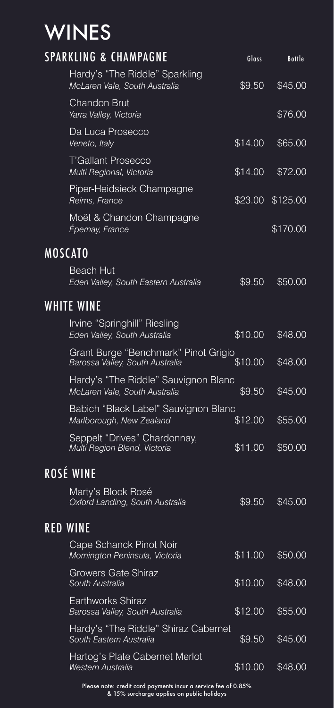# **WINES**

|           | <b>SPARKLING &amp; CHAMPAGNE</b>                                        | Glass   | <b>Bottle</b> |  |
|-----------|-------------------------------------------------------------------------|---------|---------------|--|
|           | Hardy's "The Riddle" Sparkling<br>McLaren Vale, South Australia         | \$9.50  | \$45.00       |  |
|           | <b>Chandon Brut</b><br>Yarra Valley, Victoria                           |         | \$76.00       |  |
|           | Da Luca Prosecco<br>Veneto, Italy                                       | \$14.00 | \$65.00       |  |
|           | T'Gallant Prosecco<br>Multi Regional, Victoria                          | \$14.00 | \$72.00       |  |
|           | Piper-Heidsieck Champagne<br>Reims, France                              | \$23.00 | \$125.00      |  |
|           | Moët & Chandon Champagne<br>Épernay, France                             |         | \$170.00      |  |
|           | MOSCATO                                                                 |         |               |  |
|           | Beach Hut<br>Eden Valley, South Eastern Australia                       | \$9.50  | \$50.00       |  |
|           | <b>WHITE WINE</b>                                                       |         |               |  |
|           | Irvine "Springhill" Riesling<br>Eden Valley, South Australia            | \$10.00 | \$48.00       |  |
|           | Grant Burge "Benchmark" Pinot Grigio<br>Barossa Valley, South Australia | \$10.00 | \$48.00       |  |
|           | Hardy's "The Riddle" Sauvignon Blanc<br>McLaren Vale, South Australia   | \$9.50  | \$45.00       |  |
|           | Babich "Black Label" Sauvignon Blanc<br>Marlborough, New Zealand        | \$12.00 | \$55.00       |  |
|           | Seppelt "Drives" Chardonnay,<br>Multi Region Blend, Victoria            | \$11.00 | \$50.00       |  |
| ROSÉ WINE |                                                                         |         |               |  |
|           | Marty's Block Rosé<br>Oxford Landing, South Australia                   | \$9.50  | \$45.00       |  |
|           | RED WINE                                                                |         |               |  |
|           | Cape Schanck Pinot Noir<br>Mornington Peninsula, Victoria               | \$11.00 | \$50.00       |  |
|           | Growers Gate Shiraz<br>South Australia                                  | \$10.00 | \$48.00       |  |
|           | Earthworks Shiraz<br>Barossa Valley, South Australia                    | \$12.00 | \$55.00       |  |
|           | Hardy's "The Riddle" Shiraz Cabernet<br>South Eastern Australia         | \$9.50  | \$45.00       |  |
|           | Hartog's Plate Cabernet Merlot<br>Western Australia                     | \$10.00 | \$48.00       |  |

Please note: credit card payments incur a service fee of 0.85% & 15% surcharge applies on public holidays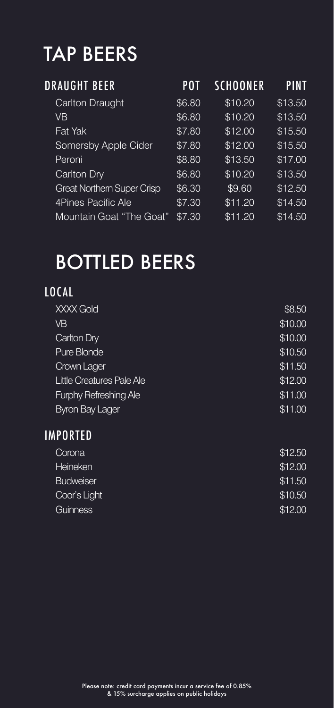## TAP BEERS

| DRAUGHT BEER                      | POT    | <b>SCHOONER</b> | <b>PINT</b> |
|-----------------------------------|--------|-----------------|-------------|
| Carlton Draught                   | \$6.80 | \$10.20         | \$13.50     |
| <b>VB</b>                         | \$6.80 | \$10.20         | \$13.50     |
| Fat Yak                           | \$7.80 | \$12.00         | \$15.50     |
| Somersby Apple Cider              | \$7.80 | \$12.00         | \$15.50     |
| Peroni                            | \$8.80 | \$13.50         | \$17.00     |
| Carlton Dry                       | \$6.80 | \$10.20         | \$13.50     |
| <b>Great Northern Super Crisp</b> | \$6.30 | \$9.60          | \$12.50     |
| 4Pines Pacific Ale                | \$7.30 | \$11.20         | \$14.50     |
| Mountain Goat "The Goat"          | \$7.30 | \$11.20         | \$14.50     |

### BOTTLED BEERS

### LOCAL

| XXXX Gold                    | \$8.50  |
|------------------------------|---------|
| VB                           | \$10.00 |
| Carlton Dry                  | \$10.00 |
| Pure Blonde                  | \$10.50 |
| Crown Lager                  | \$11.50 |
| Little Creatures Pale Ale    | \$12.00 |
| <b>Furphy Refreshing Ale</b> | \$11.00 |
| <b>Byron Bay Lager</b>       | \$11.00 |
| -------                      |         |

#### IMPORTED

| Corona           | \$12.50 |
|------------------|---------|
| Heineken         | \$12.00 |
| <b>Budweiser</b> | \$11.50 |
| Coor's Light     | \$10.50 |
| Guinness         | \$12.00 |